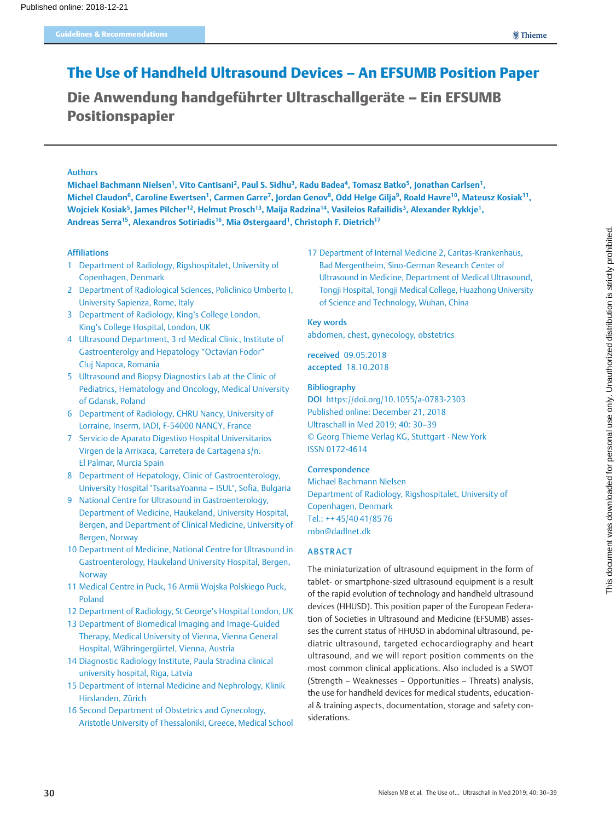# The Use of Handheld Ultrasound Devices – An EFSUMB Position Paper

Die Anwendung handgeführter Ultraschallgeräte – Ein EFSUMB Positionspapier

### Authors

Michael Bachmann Nielsen<sup>1</sup>, Vito Cantisani<sup>2</sup>, Paul S. Sidhu<sup>3</sup>, Radu Badea<sup>4</sup>, Tomasz Batko<sup>5</sup>, Jonathan Carlsen<sup>1</sup>, Michel Claudon<sup>6</sup>, Caroline Ewertsen<sup>1</sup>, Carmen Garre<sup>7</sup>, Jordan Genov<sup>8</sup>, Odd Helge Gilja<sup>9</sup>, Roald Havre<sup>10</sup>, Mateusz Kosiak<sup>11</sup>, Wojciek Kosiak<sup>5</sup>, James Pilcher<sup>12</sup>, Helmut Prosch<sup>13</sup>, Maija Radzina<sup>14</sup>, Vasileios Rafailidis<sup>3</sup>, Alexander Rykkje<sup>1</sup>, Andreas Serra<sup>15</sup>, Alexandros Sotiriadis<sup>16</sup>, Mia Østergaard<sup>1</sup>, Christoph F. Dietrich<sup>17</sup>

### Affiliations

- 1 Department of Radiology, Rigshospitalet, University of Copenhagen, Denmark
- 2 Department of Radiological Sciences, Policlinico Umberto I, University Sapienza, Rome, Italy
- 3 Department of Radiology, King's College London, King's College Hospital, London, UK
- 4 Ultrasound Department, 3 rd Medical Clinic, Institute of Gastroenterolgy and Hepatology "Octavian Fodor" Cluj Napoca, Romania
- 5 Ultrasound and Biopsy Diagnostics Lab at the Clinic of Pediatrics, Hematology and Oncology, Medical University of Gdansk, Poland
- 6 Department of Radiology, CHRU Nancy, University of Lorraine, Inserm, IADI, F-54000 NANCY, France
- 7 Servicio de Aparato Digestivo Hospital Universitarios Virgen de la Arrixaca, Carretera de Cartagena s/n. El Palmar, Murcia Spain
- 8 Department of Hepatology, Clinic of Gastroenterology, University Hospital "TsaritsaYoanna – ISUL", Sofia, Bulgaria
- 9 National Centre for Ultrasound in Gastroenterology, Department of Medicine, Haukeland, University Hospital, Bergen, and Department of Clinical Medicine, University of Bergen, Norway
- 10 Department of Medicine, National Centre for Ultrasound in Gastroenterology, Haukeland University Hospital, Bergen, **Norway**
- 11 Medical Centre in Puck, 16 Armii Wojska Polskiego Puck, Poland
- 12 Department of Radiology, St George's Hospital London, UK
- 13 Department of Biomedical Imaging and Image-Guided Therapy, Medical University of Vienna, Vienna General Hospital, Währingergürtel, Vienna, Austria
- 14 Diagnostic Radiology Institute, Paula Stradina clinical university hospital, Riga, Latvia
- 15 Department of Internal Medicine and Nephrology, Klinik Hirslanden, Zürich
- 16 Second Department of Obstetrics and Gynecology, Aristotle University of Thessaloniki, Greece, Medical School

17 Department of Internal Medicine 2, Caritas-Krankenhaus, Bad Mergentheim, Sino-German Research Center of Ultrasound in Medicine, Department of Medical Ultrasound, Tongji Hospital, Tongji Medical College, Huazhong University of Science and Technology, Wuhan, China

#### Key words

abdomen, chest, gynecology, obstetrics

received 09.05.2018 accepted 18.10.2018

### Bibliography

DOI https://doi.org/10.1055/a-0783-2303 Published online: December 21, 2018 Ultraschall in Med 2019; 40: 30–39 © Georg Thieme Verlag KG, Stuttgart · New York ISSN 0172-4614

## **Correspondence**

Michael Bachmann Nielsen Department of Radiology, Rigshospitalet, University of Copenhagen, Denmark Tel.: ++ 45/40 41/85 76 mbn@dadlnet.dk

## ABSTRACT

The miniaturization of ultrasound equipment in the form of tablet- or smartphone-sized ultrasound equipment is a result of the rapid evolution of technology and handheld ultrasound devices (HHUSD). This position paper of the European Federation of Societies in Ultrasound and Medicine (EFSUMB) assesses the current status of HHUSD in abdominal ultrasound, pediatric ultrasound, targeted echocardiography and heart ultrasound, and we will report position comments on the most common clinical applications. Also included is a SWOT (Strength – Weaknesses – Opportunities – Threats) analysis, the use for handheld devices for medical students, educational & training aspects, documentation, storage and safety considerations.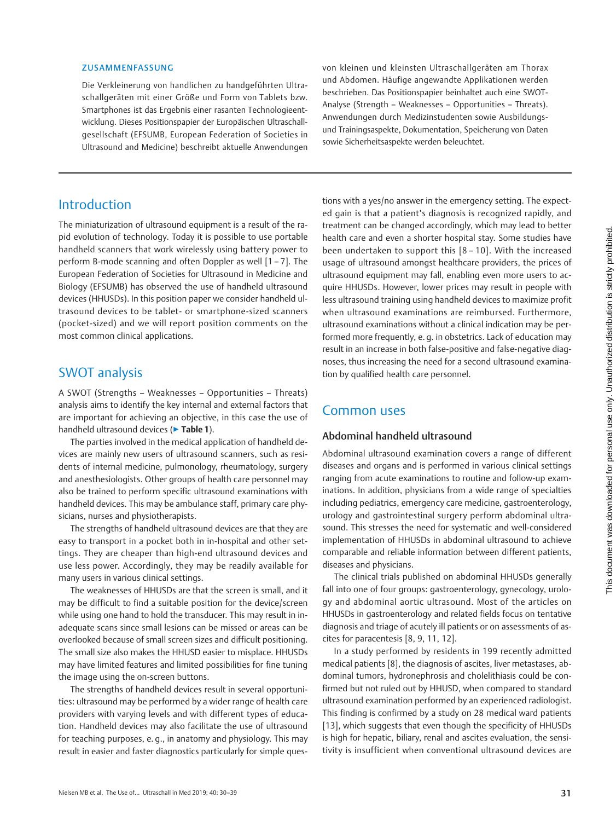#### ZUSAMMENFASSUNG

Die Verkleinerung von handlichen zu handgeführten Ultraschallgeräten mit einer Größe und Form von Tablets bzw. Smartphones ist das Ergebnis einer rasanten Technologieentwicklung. Dieses Positionspapier der Europäischen Ultraschallgesellschaft (EFSUMB, European Federation of Societies in Ultrasound and Medicine) beschreibt aktuelle Anwendungen von kleinen und kleinsten Ultraschallgeräten am Thorax und Abdomen. Häufige angewandte Applikationen werden beschrieben. Das Positionspapier beinhaltet auch eine SWOT-Analyse (Strength – Weaknesses – Opportunities – Threats). Anwendungen durch Medizinstudenten sowie Ausbildungsund Trainingsaspekte, Dokumentation, Speicherung von Daten sowie Sicherheitsaspekte werden beleuchtet.

## Introduction

The miniaturization of ultrasound equipment is a result of the rapid evolution of technology. Today it is possible to use portable handheld scanners that work wirelessly using battery power to perform B-mode scanning and often Doppler as well [1 – 7]. The European Federation of Societies for Ultrasound in Medicine and Biology (EFSUMB) has observed the use of handheld ultrasound devices (HHUSDs). In this position paper we consider handheld ultrasound devices to be tablet- or smartphone-sized scanners (pocket-sized) and we will report position comments on the most common clinical applications.

## SWOT analysis

A SWOT (Strengths – Weaknesses – Opportunities – Threats) analysis aims to identify the key internal and external factors that are important for achieving an objective, in this case the use of handheld ultrasound devices (▶ Table 1).

The parties involved in the medical application of handheld devices are mainly new users of ultrasound scanners, such as residents of internal medicine, pulmonology, rheumatology, surgery and anesthesiologists. Other groups of health care personnel may also be trained to perform specific ultrasound examinations with handheld devices. This may be ambulance staff, primary care physicians, nurses and physiotherapists.

The strengths of handheld ultrasound devices are that they are easy to transport in a pocket both in in-hospital and other settings. They are cheaper than high-end ultrasound devices and use less power. Accordingly, they may be readily available for many users in various clinical settings.

The weaknesses of HHUSDs are that the screen is small, and it may be difficult to find a suitable position for the device/screen while using one hand to hold the transducer. This may result in inadequate scans since small lesions can be missed or areas can be overlooked because of small screen sizes and difficult positioning. The small size also makes the HHUSD easier to misplace. HHUSDs may have limited features and limited possibilities for fine tuning the image using the on-screen buttons.

The strengths of handheld devices result in several opportunities: ultrasound may be performed by a wider range of health care providers with varying levels and with different types of education. Handheld devices may also facilitate the use of ultrasound for teaching purposes, e. g., in anatomy and physiology. This may result in easier and faster diagnostics particularly for simple questions with a yes/no answer in the emergency setting. The expected gain is that a patient's diagnosis is recognized rapidly, and treatment can be changed accordingly, which may lead to better health care and even a shorter hospital stay. Some studies have been undertaken to support this [8 – 10]. With the increased usage of ultrasound amongst healthcare providers, the prices of ultrasound equipment may fall, enabling even more users to acquire HHUSDs. However, lower prices may result in people with less ultrasound training using handheld devices to maximize profit when ultrasound examinations are reimbursed. Furthermore, ultrasound examinations without a clinical indication may be performed more frequently, e. g. in obstetrics. Lack of education may result in an increase in both false-positive and false-negative diagnoses, thus increasing the need for a second ultrasound examination by qualified health care personnel.

## Common uses

## Abdominal handheld ultrasound

Abdominal ultrasound examination covers a range of different diseases and organs and is performed in various clinical settings ranging from acute examinations to routine and follow-up examinations. In addition, physicians from a wide range of specialties including pediatrics, emergency care medicine, gastroenterology, urology and gastrointestinal surgery perform abdominal ultrasound. This stresses the need for systematic and well-considered implementation of HHUSDs in abdominal ultrasound to achieve comparable and reliable information between different patients, diseases and physicians.

The clinical trials published on abdominal HHUSDs generally fall into one of four groups: gastroenterology, gynecology, urology and abdominal aortic ultrasound. Most of the articles on HHUSDs in gastroenterology and related fields focus on tentative diagnosis and triage of acutely ill patients or on assessments of ascites for paracentesis [8, 9, 11, 12].

In a study performed by residents in 199 recently admitted medical patients [8], the diagnosis of ascites, liver metastases, abdominal tumors, hydronephrosis and cholelithiasis could be confirmed but not ruled out by HHUSD, when compared to standard ultrasound examination performed by an experienced radiologist. This finding is confirmed by a study on 28 medical ward patients [13], which suggests that even though the specificity of HHUSDs is high for hepatic, biliary, renal and ascites evaluation, the sensitivity is insufficient when conventional ultrasound devices are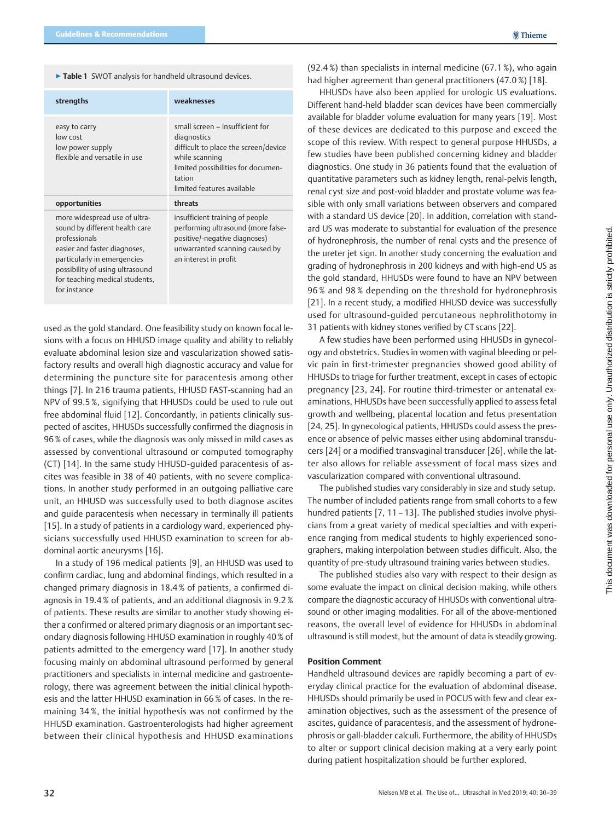### ▶ Table 1 SWOT analysis for handheld ultrasound devices.

| strengths                                                                                                                                                                                                                            | <b>Weaknesses</b>                                                                                                                                                                      |
|--------------------------------------------------------------------------------------------------------------------------------------------------------------------------------------------------------------------------------------|----------------------------------------------------------------------------------------------------------------------------------------------------------------------------------------|
| easy to carry<br>low cost<br>low power supply<br>flexible and versatile in use                                                                                                                                                       | small screen - insufficient for<br>diagnostics<br>difficult to place the screen/device<br>while scanning<br>limited possibilities for documen-<br>tation<br>limited features available |
| opportunities                                                                                                                                                                                                                        | threats                                                                                                                                                                                |
| more widespread use of ultra-<br>sound by different health care<br>professionals<br>easier and faster diagnoses,<br>particularly in emergencies<br>possibility of using ultrasound<br>for teaching medical students,<br>for instance | insufficient training of people<br>performing ultrasound (more false-<br>positive/-negative diagnoses)<br>unwarranted scanning caused by<br>an interest in profit                      |

used as the gold standard. One feasibility study on known focal lesions with a focus on HHUSD image quality and ability to reliably evaluate abdominal lesion size and vascularization showed satisfactory results and overall high diagnostic accuracy and value for determining the puncture site for paracentesis among other things [7]. In 216 trauma patients, HHUSD FAST-scanning had an NPV of 99.5 %, signifying that HHUSDs could be used to rule out free abdominal fluid [12]. Concordantly, in patients clinically suspected of ascites, HHUSDs successfully confirmed the diagnosis in 96 % of cases, while the diagnosis was only missed in mild cases as assessed by conventional ultrasound or computed tomography (CT) [14]. In the same study HHUSD-guided paracentesis of ascites was feasible in 38 of 40 patients, with no severe complications. In another study performed in an outgoing palliative care unit, an HHUSD was successfully used to both diagnose ascites and guide paracentesis when necessary in terminally ill patients [15]. In a study of patients in a cardiology ward, experienced physicians successfully used HHUSD examination to screen for abdominal aortic aneurysms [16].

In a study of 196 medical patients [9], an HHUSD was used to confirm cardiac, lung and abdominal findings, which resulted in a changed primary diagnosis in 18.4 % of patients, a confirmed diagnosis in 19.4 % of patients, and an additional diagnosis in 9.2 % of patients. These results are similar to another study showing either a confirmed or altered primary diagnosis or an important secondary diagnosis following HHUSD examination in roughly 40 % of patients admitted to the emergency ward [17]. In another study focusing mainly on abdominal ultrasound performed by general practitioners and specialists in internal medicine and gastroenterology, there was agreement between the initial clinical hypothesis and the latter HHUSD examination in 66 % of cases. In the remaining 34 %, the initial hypothesis was not confirmed by the HHUSD examination. Gastroenterologists had higher agreement between their clinical hypothesis and HHUSD examinations

(92.4 %) than specialists in internal medicine (67.1 %), who again had higher agreement than general practitioners (47.0 %) [18].

HHUSDs have also been applied for urologic US evaluations. Different hand-held bladder scan devices have been commercially available for bladder volume evaluation for many years [19]. Most of these devices are dedicated to this purpose and exceed the scope of this review. With respect to general purpose HHUSDs, a few studies have been published concerning kidney and bladder diagnostics. One study in 36 patients found that the evaluation of quantitative parameters such as kidney length, renal-pelvis length, renal cyst size and post-void bladder and prostate volume was feasible with only small variations between observers and compared with a standard US device [20]. In addition, correlation with standard US was moderate to substantial for evaluation of the presence of hydronephrosis, the number of renal cysts and the presence of the ureter jet sign. In another study concerning the evaluation and grading of hydronephrosis in 200 kidneys and with high-end US as the gold standard, HHUSDs were found to have an NPV between 96 % and 98 % depending on the threshold for hydronephrosis [21]. In a recent study, a modified HHUSD device was successfully used for ultrasound-guided percutaneous nephrolithotomy in 31 patients with kidney stones verified by CT scans [22].

A few studies have been performed using HHUSDs in gynecology and obstetrics. Studies in women with vaginal bleeding or pelvic pain in first-trimester pregnancies showed good ability of HHUSDs to triage for further treatment, except in cases of ectopic pregnancy [23, 24]. For routine third-trimester or antenatal examinations, HHUSDs have been successfully applied to assess fetal growth and wellbeing, placental location and fetus presentation [24, 25]. In gynecological patients, HHUSDs could assess the presence or absence of pelvic masses either using abdominal transducers [24] or a modified transvaginal transducer [26], while the latter also allows for reliable assessment of focal mass sizes and vascularization compared with conventional ultrasound.

The published studies vary considerably in size and study setup. The number of included patients range from small cohorts to a few hundred patients [7, 11 – 13]. The published studies involve physicians from a great variety of medical specialties and with experience ranging from medical students to highly experienced sonographers, making interpolation between studies difficult. Also, the quantity of pre-study ultrasound training varies between studies.

The published studies also vary with respect to their design as some evaluate the impact on clinical decision making, while others compare the diagnostic accuracy of HHUSDs with conventional ultrasound or other imaging modalities. For all of the above-mentioned reasons, the overall level of evidence for HHUSDs in abdominal ultrasound is still modest, but the amount of data is steadily growing.

#### Position Comment

Handheld ultrasound devices are rapidly becoming a part of everyday clinical practice for the evaluation of abdominal disease. HHUSDs should primarily be used in POCUS with few and clear examination objectives, such as the assessment of the presence of ascites, guidance of paracentesis, and the assessment of hydronephrosis or gall-bladder calculi. Furthermore, the ability of HHUSDs to alter or support clinical decision making at a very early point during patient hospitalization should be further explored.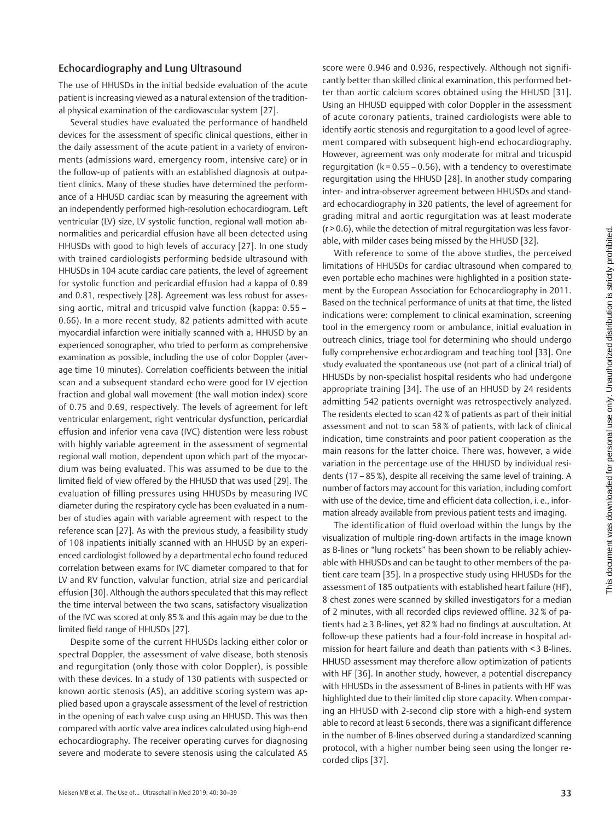The use of HHUSDs in the initial bedside evaluation of the acute patient is increasing viewed as a natural extension of the traditional physical examination of the cardiovascular system [27].

Several studies have evaluated the performance of handheld devices for the assessment of specific clinical questions, either in the daily assessment of the acute patient in a variety of environments (admissions ward, emergency room, intensive care) or in the follow-up of patients with an established diagnosis at outpatient clinics. Many of these studies have determined the performance of a HHUSD cardiac scan by measuring the agreement with an independently performed high-resolution echocardiogram. Left ventricular (LV) size, LV systolic function, regional wall motion abnormalities and pericardial effusion have all been detected using HHUSDs with good to high levels of accuracy [27]. In one study with trained cardiologists performing bedside ultrasound with HHUSDs in 104 acute cardiac care patients, the level of agreement for systolic function and pericardial effusion had a kappa of 0.89 and 0.81, respectively [28]. Agreement was less robust for assessing aortic, mitral and tricuspid valve function (kappa: 0.55 – 0.66). In a more recent study, 82 patients admitted with acute myocardial infarction were initially scanned with a, HHUSD by an experienced sonographer, who tried to perform as comprehensive examination as possible, including the use of color Doppler (average time 10 minutes). Correlation coefficients between the initial scan and a subsequent standard echo were good for LV ejection fraction and global wall movement (the wall motion index) score of 0.75 and 0.69, respectively. The levels of agreement for left ventricular enlargement, right ventricular dysfunction, pericardial effusion and inferior vena cava (IVC) distention were less robust with highly variable agreement in the assessment of segmental regional wall motion, dependent upon which part of the myocardium was being evaluated. This was assumed to be due to the limited field of view offered by the HHUSD that was used [29]. The evaluation of filling pressures using HHUSDs by measuring IVC diameter during the respiratory cycle has been evaluated in a number of studies again with variable agreement with respect to the reference scan [27]. As with the previous study, a feasibility study of 108 inpatients initially scanned with an HHUSD by an experienced cardiologist followed by a departmental echo found reduced correlation between exams for IVC diameter compared to that for LV and RV function, valvular function, atrial size and pericardial effusion [30]. Although the authors speculated that this may reflect the time interval between the two scans, satisfactory visualization of the IVC was scored at only 85 % and this again may be due to the limited field range of HHUSDs [27].

Despite some of the current HHUSDs lacking either color or spectral Doppler, the assessment of valve disease, both stenosis and regurgitation (only those with color Doppler), is possible with these devices. In a study of 130 patients with suspected or known aortic stenosis (AS), an additive scoring system was applied based upon a grayscale assessment of the level of restriction in the opening of each valve cusp using an HHUSD. This was then compared with aortic valve area indices calculated using high-end echocardiography. The receiver operating curves for diagnosing severe and moderate to severe stenosis using the calculated AS score were 0.946 and 0.936, respectively. Although not significantly better than skilled clinical examination, this performed better than aortic calcium scores obtained using the HHUSD [31]. Using an HHUSD equipped with color Doppler in the assessment of acute coronary patients, trained cardiologists were able to identify aortic stenosis and regurgitation to a good level of agreement compared with subsequent high-end echocardiography. However, agreement was only moderate for mitral and tricuspid regurgitation ( $k = 0.55 - 0.56$ ), with a tendency to overestimate regurgitation using the HHUSD [28]. In another study comparing inter- and intra-observer agreement between HHUSDs and standard echocardiography in 320 patients, the level of agreement for grading mitral and aortic regurgitation was at least moderate  $(r > 0.6)$ , while the detection of mitral regurgitation was less favorable, with milder cases being missed by the HHUSD [32].

With reference to some of the above studies, the perceived limitations of HHUSDs for cardiac ultrasound when compared to even portable echo machines were highlighted in a position statement by the European Association for Echocardiography in 2011. Based on the technical performance of units at that time, the listed indications were: complement to clinical examination, screening tool in the emergency room or ambulance, initial evaluation in outreach clinics, triage tool for determining who should undergo fully comprehensive echocardiogram and teaching tool [33]. One study evaluated the spontaneous use (not part of a clinical trial) of HHUSDs by non-specialist hospital residents who had undergone appropriate training [34]. The use of an HHUSD by 24 residents admitting 542 patients overnight was retrospectively analyzed. The residents elected to scan 42 % of patients as part of their initial assessment and not to scan 58 % of patients, with lack of clinical indication, time constraints and poor patient cooperation as the main reasons for the latter choice. There was, however, a wide variation in the percentage use of the HHUSD by individual residents (17 – 85 %), despite all receiving the same level of training. A number of factors may account for this variation, including comfort with use of the device, time and efficient data collection, i. e., information already available from previous patient tests and imaging.

The identification of fluid overload within the lungs by the visualization of multiple ring-down artifacts in the image known as B-lines or "lung rockets" has been shown to be reliably achievable with HHUSDs and can be taught to other members of the patient care team [35]. In a prospective study using HHUSDs for the assessment of 185 outpatients with established heart failure (HF), 8 chest zones were scanned by skilled investigators for a median of 2 minutes, with all recorded clips reviewed offline. 32 % of patients had ≥ 3 B-lines, yet 82 % had no findings at auscultation. At follow-up these patients had a four-fold increase in hospital admission for heart failure and death than patients with < 3 B-lines. HHUSD assessment may therefore allow optimization of patients with HF [36]. In another study, however, a potential discrepancy with HHUSDs in the assessment of B-lines in patients with HF was highlighted due to their limited clip store capacity. When comparing an HHUSD with 2-second clip store with a high-end system able to record at least 6 seconds, there was a significant difference in the number of B-lines observed during a standardized scanning protocol, with a higher number being seen using the longer recorded clips [37].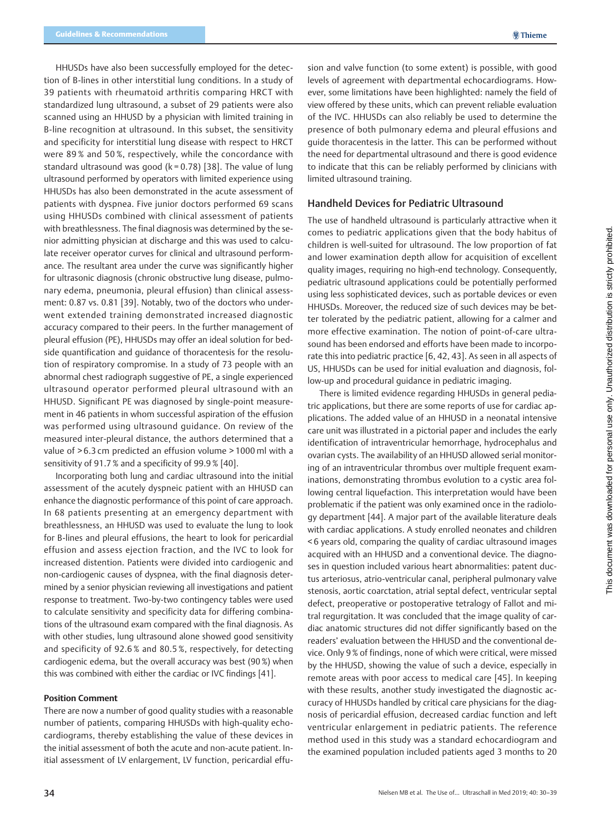HHUSDs have also been successfully employed for the detection of B-lines in other interstitial lung conditions. In a study of 39 patients with rheumatoid arthritis comparing HRCT with standardized lung ultrasound, a subset of 29 patients were also scanned using an HHUSD by a physician with limited training in B-line recognition at ultrasound. In this subset, the sensitivity and specificity for interstitial lung disease with respect to HRCT were 89 % and 50 %, respectively, while the concordance with standard ultrasound was good ( $k = 0.78$ ) [38]. The value of lung ultrasound performed by operators with limited experience using HHUSDs has also been demonstrated in the acute assessment of patients with dyspnea. Five junior doctors performed 69 scans using HHUSDs combined with clinical assessment of patients with breathlessness. The final diagnosis was determined by the senior admitting physician at discharge and this was used to calculate receiver operator curves for clinical and ultrasound performance. The resultant area under the curve was significantly higher for ultrasonic diagnosis (chronic obstructive lung disease, pulmonary edema, pneumonia, pleural effusion) than clinical assessment: 0.87 vs. 0.81 [39]. Notably, two of the doctors who underwent extended training demonstrated increased diagnostic accuracy compared to their peers. In the further management of pleural effusion (PE), HHUSDs may offer an ideal solution for bedside quantification and guidance of thoracentesis for the resolution of respiratory compromise. In a study of 73 people with an abnormal chest radiograph suggestive of PE, a single experienced ultrasound operator performed pleural ultrasound with an HHUSD. Significant PE was diagnosed by single-point measurement in 46 patients in whom successful aspiration of the effusion was performed using ultrasound guidance. On review of the measured inter-pleural distance, the authors determined that a value of > 6.3 cm predicted an effusion volume > 1000 ml with a sensitivity of 91.7 % and a specificity of 99.9 % [40].

Incorporating both lung and cardiac ultrasound into the initial assessment of the acutely dyspneic patient with an HHUSD can enhance the diagnostic performance of this point of care approach. In 68 patients presenting at an emergency department with breathlessness, an HHUSD was used to evaluate the lung to look for B-lines and pleural effusions, the heart to look for pericardial effusion and assess ejection fraction, and the IVC to look for increased distention. Patients were divided into cardiogenic and non-cardiogenic causes of dyspnea, with the final diagnosis determined by a senior physician reviewing all investigations and patient response to treatment. Two-by-two contingency tables were used to calculate sensitivity and specificity data for differing combinations of the ultrasound exam compared with the final diagnosis. As with other studies, lung ultrasound alone showed good sensitivity and specificity of 92.6 % and 80.5 %, respectively, for detecting cardiogenic edema, but the overall accuracy was best (90 %) when this was combined with either the cardiac or IVC findings [41].

### Position Comment

There are now a number of good quality studies with a reasonable number of patients, comparing HHUSDs with high-quality echocardiograms, thereby establishing the value of these devices in the initial assessment of both the acute and non-acute patient. Initial assessment of LV enlargement, LV function, pericardial effu-

sion and valve function (to some extent) is possible, with good levels of agreement with departmental echocardiograms. However, some limitations have been highlighted: namely the field of view offered by these units, which can prevent reliable evaluation of the IVC. HHUSDs can also reliably be used to determine the presence of both pulmonary edema and pleural effusions and guide thoracentesis in the latter. This can be performed without the need for departmental ultrasound and there is good evidence to indicate that this can be reliably performed by clinicians with limited ultrasound training.

## Handheld Devices for Pediatric Ultrasound

The use of handheld ultrasound is particularly attractive when it comes to pediatric applications given that the body habitus of children is well-suited for ultrasound. The low proportion of fat and lower examination depth allow for acquisition of excellent quality images, requiring no high-end technology. Consequently, pediatric ultrasound applications could be potentially performed using less sophisticated devices, such as portable devices or even HHUSDs. Moreover, the reduced size of such devices may be better tolerated by the pediatric patient, allowing for a calmer and more effective examination. The notion of point-of-care ultrasound has been endorsed and efforts have been made to incorporate this into pediatric practice [6, 42, 43]. As seen in all aspects of US, HHUSDs can be used for initial evaluation and diagnosis, follow-up and procedural guidance in pediatric imaging.

There is limited evidence regarding HHUSDs in general pediatric applications, but there are some reports of use for cardiac applications. The added value of an HHUSD in a neonatal intensive care unit was illustrated in a pictorial paper and includes the early identification of intraventricular hemorrhage, hydrocephalus and ovarian cysts. The availability of an HHUSD allowed serial monitoring of an intraventricular thrombus over multiple frequent examinations, demonstrating thrombus evolution to a cystic area following central liquefaction. This interpretation would have been problematic if the patient was only examined once in the radiology department [44]. A major part of the available literature deals with cardiac applications. A study enrolled neonates and children < 6 years old, comparing the quality of cardiac ultrasound images acquired with an HHUSD and a conventional device. The diagnoses in question included various heart abnormalities: patent ductus arteriosus, atrio-ventricular canal, peripheral pulmonary valve stenosis, aortic coarctation, atrial septal defect, ventricular septal defect, preoperative or postoperative tetralogy of Fallot and mitral regurgitation. It was concluded that the image quality of cardiac anatomic structures did not differ significantly based on the readers' evaluation between the HHUSD and the conventional device. Only 9 % of findings, none of which were critical, were missed by the HHUSD, showing the value of such a device, especially in remote areas with poor access to medical care [45]. In keeping with these results, another study investigated the diagnostic accuracy of HHUSDs handled by critical care physicians for the diagnosis of pericardial effusion, decreased cardiac function and left ventricular enlargement in pediatric patients. The reference method used in this study was a standard echocardiogram and the examined population included patients aged 3 months to 20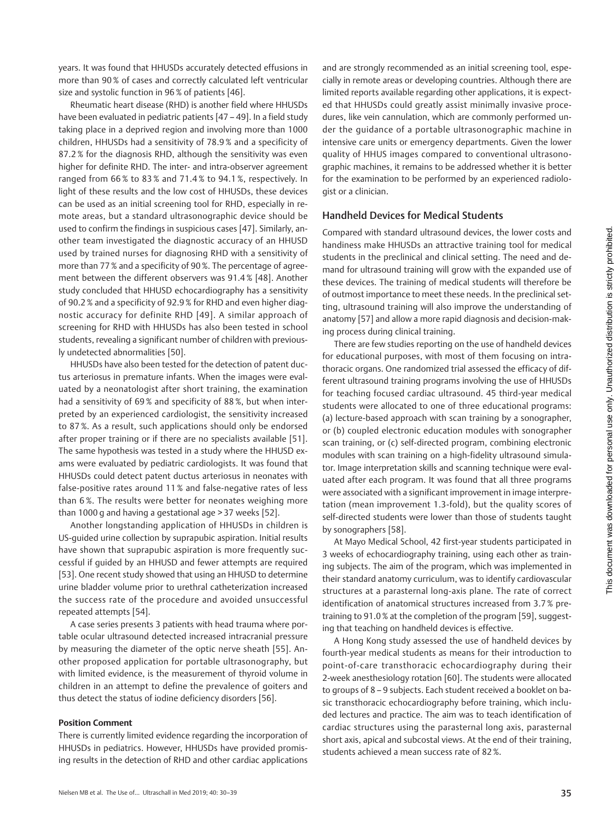years. It was found that HHUSDs accurately detected effusions in more than 90 % of cases and correctly calculated left ventricular size and systolic function in 96 % of patients [46].

Rheumatic heart disease (RHD) is another field where HHUSDs have been evaluated in pediatric patients [47 – 49]. In a field study taking place in a deprived region and involving more than 1000 children, HHUSDs had a sensitivity of 78.9 % and a specificity of 87.2 % for the diagnosis RHD, although the sensitivity was even higher for definite RHD. The inter- and intra-observer agreement ranged from 66 % to 83 % and 71.4 % to 94.1 %, respectively. In light of these results and the low cost of HHUSDs, these devices can be used as an initial screening tool for RHD, especially in remote areas, but a standard ultrasonographic device should be used to confirm the findings in suspicious cases [47]. Similarly, another team investigated the diagnostic accuracy of an HHUSD used by trained nurses for diagnosing RHD with a sensitivity of more than 77 % and a specificity of 90 %. The percentage of agreement between the different observers was 91.4 % [48]. Another study concluded that HHUSD echocardiography has a sensitivity of 90.2 % and a specificity of 92.9 % for RHD and even higher diagnostic accuracy for definite RHD [49]. A similar approach of screening for RHD with HHUSDs has also been tested in school students, revealing a significant number of children with previously undetected abnormalities [50].

HHUSDs have also been tested for the detection of patent ductus arteriosus in premature infants. When the images were evaluated by a neonatologist after short training, the examination had a sensitivity of 69 % and specificity of 88 %, but when interpreted by an experienced cardiologist, the sensitivity increased to 87 %. As a result, such applications should only be endorsed after proper training or if there are no specialists available [51]. The same hypothesis was tested in a study where the HHUSD exams were evaluated by pediatric cardiologists. It was found that HHUSDs could detect patent ductus arteriosus in neonates with false-positive rates around 11 % and false-negative rates of less than 6 %. The results were better for neonates weighing more than 1000 g and having a gestational age > 37 weeks [52].

Another longstanding application of HHUSDs in children is US-guided urine collection by suprapubic aspiration. Initial results have shown that suprapubic aspiration is more frequently successful if guided by an HHUSD and fewer attempts are required [53]. One recent study showed that using an HHUSD to determine urine bladder volume prior to urethral catheterization increased the success rate of the procedure and avoided unsuccessful repeated attempts [54].

A case series presents 3 patients with head trauma where portable ocular ultrasound detected increased intracranial pressure by measuring the diameter of the optic nerve sheath [55]. Another proposed application for portable ultrasonography, but with limited evidence, is the measurement of thyroid volume in children in an attempt to define the prevalence of goiters and thus detect the status of iodine deficiency disorders [56].

### Position Comment

There is currently limited evidence regarding the incorporation of HHUSDs in pediatrics. However, HHUSDs have provided promising results in the detection of RHD and other cardiac applications and are strongly recommended as an initial screening tool, especially in remote areas or developing countries. Although there are limited reports available regarding other applications, it is expected that HHUSDs could greatly assist minimally invasive procedures, like vein cannulation, which are commonly performed under the guidance of a portable ultrasonographic machine in intensive care units or emergency departments. Given the lower quality of HHUS images compared to conventional ultrasonographic machines, it remains to be addressed whether it is better for the examination to be performed by an experienced radiologist or a clinician.

## Handheld Devices for Medical Students

Compared with standard ultrasound devices, the lower costs and handiness make HHUSDs an attractive training tool for medical students in the preclinical and clinical setting. The need and demand for ultrasound training will grow with the expanded use of these devices. The training of medical students will therefore be of outmost importance to meet these needs. In the preclinical setting, ultrasound training will also improve the understanding of anatomy [57] and allow a more rapid diagnosis and decision-making process during clinical training.

There are few studies reporting on the use of handheld devices for educational purposes, with most of them focusing on intrathoracic organs. One randomized trial assessed the efficacy of different ultrasound training programs involving the use of HHUSDs for teaching focused cardiac ultrasound. 45 third-year medical students were allocated to one of three educational programs: (a) lecture-based approach with scan training by a sonographer, or (b) coupled electronic education modules with sonographer scan training, or (c) self-directed program, combining electronic modules with scan training on a high-fidelity ultrasound simulator. Image interpretation skills and scanning technique were evaluated after each program. It was found that all three programs were associated with a significant improvement in image interpretation (mean improvement 1.3-fold), but the quality scores of self-directed students were lower than those of students taught by sonographers [58].

At Mayo Medical School, 42 first-year students participated in 3 weeks of echocardiography training, using each other as training subjects. The aim of the program, which was implemented in their standard anatomy curriculum, was to identify cardiovascular structures at a parasternal long-axis plane. The rate of correct identification of anatomical structures increased from 3.7 % pretraining to 91.0 % at the completion of the program [59], suggesting that teaching on handheld devices is effective.

A Hong Kong study assessed the use of handheld devices by fourth-year medical students as means for their introduction to point-of-care transthoracic echocardiography during their 2-week anesthesiology rotation [60]. The students were allocated to groups of 8 – 9 subjects. Each student received a booklet on basic transthoracic echocardiography before training, which included lectures and practice. The aim was to teach identification of cardiac structures using the parasternal long axis, parasternal short axis, apical and subcostal views. At the end of their training, students achieved a mean success rate of 82 %.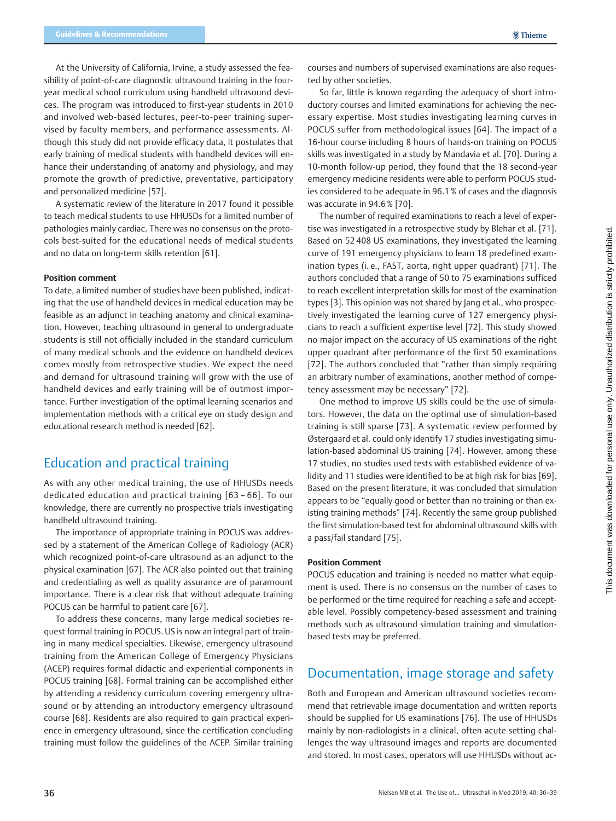At the University of California, Irvine, a study assessed the feasibility of point-of-care diagnostic ultrasound training in the fouryear medical school curriculum using handheld ultrasound devices. The program was introduced to first-year students in 2010 and involved web-based lectures, peer-to-peer training supervised by faculty members, and performance assessments. Although this study did not provide efficacy data, it postulates that early training of medical students with handheld devices will enhance their understanding of anatomy and physiology, and may promote the growth of predictive, preventative, participatory and personalized medicine [57].

A systematic review of the literature in 2017 found it possible to teach medical students to use HHUSDs for a limited number of pathologies mainly cardiac. There was no consensus on the protocols best-suited for the educational needs of medical students and no data on long-term skills retention [61].

#### Position comment

To date, a limited number of studies have been published, indicating that the use of handheld devices in medical education may be feasible as an adjunct in teaching anatomy and clinical examination. However, teaching ultrasound in general to undergraduate students is still not officially included in the standard curriculum of many medical schools and the evidence on handheld devices comes mostly from retrospective studies. We expect the need and demand for ultrasound training will grow with the use of handheld devices and early training will be of outmost importance. Further investigation of the optimal learning scenarios and implementation methods with a critical eye on study design and educational research method is needed [62].

## Education and practical training

As with any other medical training, the use of HHUSDs needs dedicated education and practical training [63 – 66]. To our knowledge, there are currently no prospective trials investigating handheld ultrasound training.

The importance of appropriate training in POCUS was addressed by a statement of the American College of Radiology (ACR) which recognized point-of-care ultrasound as an adjunct to the physical examination [67]. The ACR also pointed out that training and credentialing as well as quality assurance are of paramount importance. There is a clear risk that without adequate training POCUS can be harmful to patient care [67].

To address these concerns, many large medical societies request formal training in POCUS. US is now an integral part of training in many medical specialties. Likewise, emergency ultrasound training from the American College of Emergency Physicians (ACEP) requires formal didactic and experiential components in POCUS training [68]. Formal training can be accomplished either by attending a residency curriculum covering emergency ultrasound or by attending an introductory emergency ultrasound course [68]. Residents are also required to gain practical experience in emergency ultrasound, since the certification concluding training must follow the guidelines of the ACEP. Similar training

courses and numbers of supervised examinations are also requested by other societies.

So far, little is known regarding the adequacy of short introductory courses and limited examinations for achieving the necessary expertise. Most studies investigating learning curves in POCUS suffer from methodological issues [64]. The impact of a 16-hour course including 8 hours of hands-on training on POCUS skills was investigated in a study by Mandavia et al. [70]. During a 10-month follow-up period, they found that the 18 second-year emergency medicine residents were able to perform POCUS studies considered to be adequate in 96.1 % of cases and the diagnosis was accurate in 94.6 % [70].

The number of required examinations to reach a level of expertise was investigated in a retrospective study by Blehar et al. [71]. Based on 52 408 US examinations, they investigated the learning curve of 191 emergency physicians to learn 18 predefined examination types (i. e., FAST, aorta, right upper quadrant) [71]. The authors concluded that a range of 50 to 75 examinations sufficed to reach excellent interpretation skills for most of the examination types [3]. This opinion was not shared by Jang et al., who prospectively investigated the learning curve of 127 emergency physicians to reach a sufficient expertise level [72]. This study showed no major impact on the accuracy of US examinations of the right upper quadrant after performance of the first 50 examinations [72]. The authors concluded that "rather than simply requiring an arbitrary number of examinations, another method of competency assessment may be necessary" [72].

One method to improve US skills could be the use of simulators. However, the data on the optimal use of simulation-based training is still sparse [73]. A systematic review performed by Østergaard et al. could only identify 17 studies investigating simulation-based abdominal US training [74]. However, among these 17 studies, no studies used tests with established evidence of validity and 11 studies were identified to be at high risk for bias [69]. Based on the present literature, it was concluded that simulation appears to be "equally good or better than no training or than existing training methods" [74]. Recently the same group published the first simulation-based test for abdominal ultrasound skills with a pass/fail standard [75].

### Position Comment

POCUS education and training is needed no matter what equipment is used. There is no consensus on the number of cases to be performed or the time required for reaching a safe and acceptable level. Possibly competency-based assessment and training methods such as ultrasound simulation training and simulationbased tests may be preferred.

## Documentation, image storage and safety

Both and European and American ultrasound societies recommend that retrievable image documentation and written reports should be supplied for US examinations [76]. The use of HHUSDs mainly by non-radiologists in a clinical, often acute setting challenges the way ultrasound images and reports are documented and stored. In most cases, operators will use HHUSDs without ac-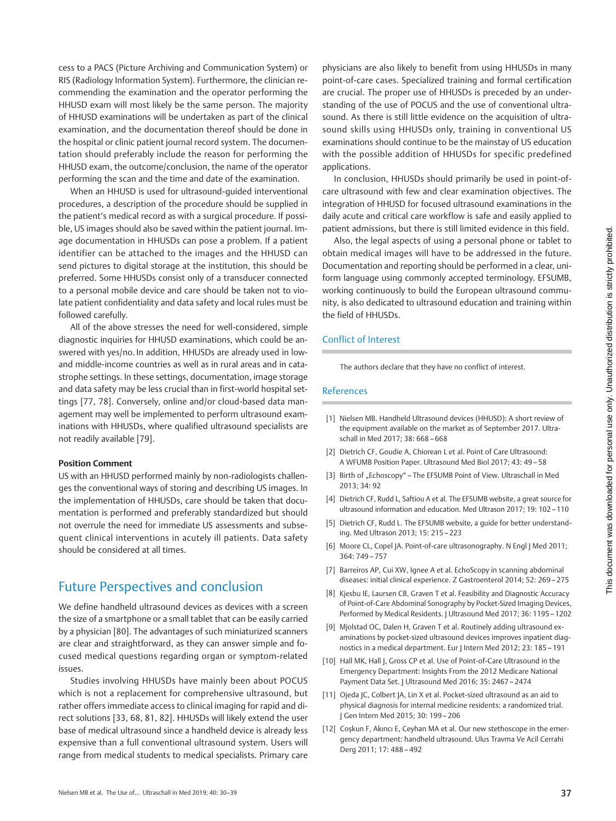cess to a PACS (Picture Archiving and Communication System) or RIS (Radiology Information System). Furthermore, the clinician recommending the examination and the operator performing the HHUSD exam will most likely be the same person. The majority of HHUSD examinations will be undertaken as part of the clinical examination, and the documentation thereof should be done in the hospital or clinic patient journal record system. The documentation should preferably include the reason for performing the HHUSD exam, the outcome/conclusion, the name of the operator performing the scan and the time and date of the examination.

When an HHUSD is used for ultrasound-guided interventional procedures, a description of the procedure should be supplied in the patient's medical record as with a surgical procedure. If possible, US images should also be saved within the patient journal. Image documentation in HHUSDs can pose a problem. If a patient identifier can be attached to the images and the HHUSD can send pictures to digital storage at the institution, this should be preferred. Some HHUSDs consist only of a transducer connected to a personal mobile device and care should be taken not to violate patient confidentiality and data safety and local rules must be followed carefully.

All of the above stresses the need for well-considered, simple diagnostic inquiries for HHUSD examinations, which could be answered with yes/no. In addition, HHUSDs are already used in lowand middle-income countries as well as in rural areas and in catastrophe settings. In these settings, documentation, image storage and data safety may be less crucial than in first-world hospital settings [77, 78]. Conversely, online and/or cloud-based data management may well be implemented to perform ultrasound examinations with HHUSDs, where qualified ultrasound specialists are not readily available [79].

#### Position Comment

US with an HHUSD performed mainly by non-radiologists challenges the conventional ways of storing and describing US images. In the implementation of HHUSDs, care should be taken that documentation is performed and preferably standardized but should not overrule the need for immediate US assessments and subsequent clinical interventions in acutely ill patients. Data safety should be considered at all times.

## Future Perspectives and conclusion

We define handheld ultrasound devices as devices with a screen the size of a smartphone or a small tablet that can be easily carried by a physician [80]. The advantages of such miniaturized scanners are clear and straightforward, as they can answer simple and focused medical questions regarding organ or symptom-related issues.

Studies involving HHUSDs have mainly been about POCUS which is not a replacement for comprehensive ultrasound, but rather offers immediate access to clinical imaging for rapid and direct solutions [33, 68, 81, 82]. HHUSDs will likely extend the user base of medical ultrasound since a handheld device is already less expensive than a full conventional ultrasound system. Users will range from medical students to medical specialists. Primary care

physicians are also likely to benefit from using HHUSDs in many point-of-care cases. Specialized training and formal certification are crucial. The proper use of HHUSDs is preceded by an understanding of the use of POCUS and the use of conventional ultrasound. As there is still little evidence on the acquisition of ultrasound skills using HHUSDs only, training in conventional US examinations should continue to be the mainstay of US education with the possible addition of HHUSDs for specific predefined applications.

In conclusion, HHUSDs should primarily be used in point-ofcare ultrasound with few and clear examination objectives. The integration of HHUSD for focused ultrasound examinations in the daily acute and critical care workflow is safe and easily applied to patient admissions, but there is still limited evidence in this field.

Also, the legal aspects of using a personal phone or tablet to obtain medical images will have to be addressed in the future. Documentation and reporting should be performed in a clear, uniform language using commonly accepted terminology. EFSUMB, working continuously to build the European ultrasound community, is also dedicated to ultrasound education and training within the field of HHUSDs.

## Conflict of Interest

The authors declare that they have no conflict of interest.

#### References

- [1] Nielsen MB. Handheld Ultrasound devices (HHUSD): A short review of the equipment available on the market as of September 2017. Ultraschall in Med 2017; 38: 668–668
- [2] Dietrich CF, Goudie A, Chiorean L et al. Point of Care Ultrasound: A WFUMB Position Paper. Ultrasound Med Biol 2017; 43: 49–58
- [3] Birth of "Echoscopy" The EFSUMB Point of View. Ultraschall in Med 2013; 34: 92
- [4] Dietrich CF, Rudd L, Saftiou A et al. The EFSUMB website, a great source for ultrasound information and education. Med Ultrason 2017; 19: 102–110
- [5] Dietrich CF, Rudd L. The EFSUMB website, a guide for better understanding. Med Ultrason 2013; 15: 215–223
- [6] Moore CL, Copel JA. Point-of-care ultrasonography. N Engl J Med 2011; 364: 749–757
- [7] Barreiros AP, Cui XW, Ignee A et al. EchoScopy in scanning abdominal diseases: initial clinical experience. Z Gastroenterol 2014; 52: 269–275
- [8] Kjesbu IE, Laursen CB, Graven T et al. Feasibility and Diagnostic Accuracy of Point-of-Care Abdominal Sonography by Pocket-Sized Imaging Devices, Performed by Medical Residents. J Ultrasound Med 2017; 36: 1195–1202
- [9] Mjolstad OC, Dalen H, Graven T et al. Routinely adding ultrasound examinations by pocket-sized ultrasound devices improves inpatient diagnostics in a medical department. Eur J Intern Med 2012; 23: 185–191
- [10] Hall MK, Hall J, Gross CP et al. Use of Point-of-Care Ultrasound in the Emergency Department: Insights From the 2012 Medicare National Payment Data Set. J Ultrasound Med 2016; 35: 2467–2474
- [11] Ojeda JC, Colbert JA, Lin X et al. Pocket-sized ultrasound as an aid to physical diagnosis for internal medicine residents: a randomized trial. J Gen Intern Med 2015; 30: 199–206
- [12] Coşkun F, Akıncı E, Ceyhan MA et al. Our new stethoscope in the emergency department: handheld ultrasound. Ulus Travma Ve Acil Cerrahi Derg 2011; 17: 488–492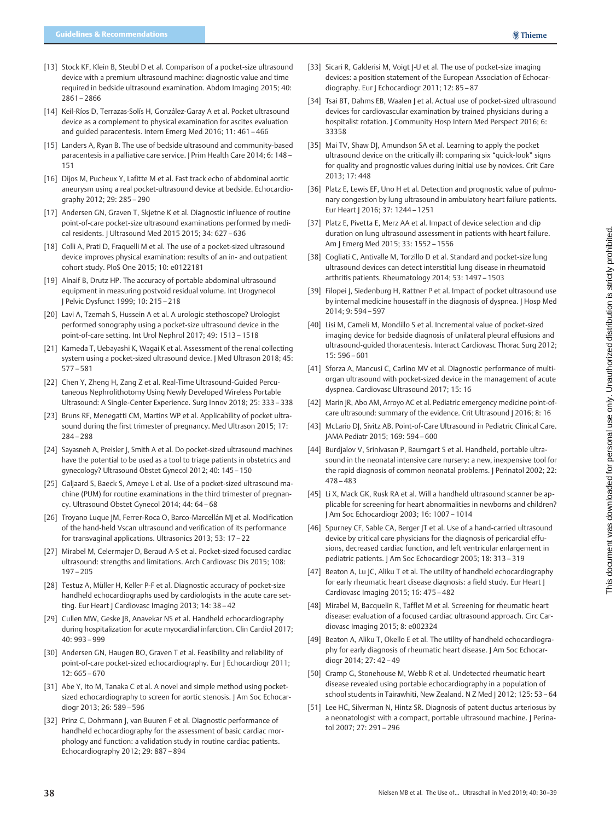- [13] Stock KF, Klein B, Steubl D et al. Comparison of a pocket-size ultrasound device with a premium ultrasound machine: diagnostic value and time required in bedside ultrasound examination. Abdom Imaging 2015; 40: 2861–2866
- [14] Keil-Ríos D, Terrazas-Solís H, González-Garay A et al. Pocket ultrasound device as a complement to physical examination for ascites evaluation and guided paracentesis. Intern Emerg Med 2016; 11: 461–466
- [15] Landers A, Ryan B. The use of bedside ultrasound and community-based paracentesis in a palliative care service. J Prim Health Care 2014; 6: 148– 151
- [16] Dijos M, Pucheux Y, Lafitte M et al. Fast track echo of abdominal aortic aneurysm using a real pocket-ultrasound device at bedside. Echocardiography 2012; 29: 285–290
- [17] Andersen GN, Graven T, Skjetne K et al. Diagnostic influence of routine point-of-care pocket-size ultrasound examinations performed by medical residents. J Ultrasound Med 2015 2015; 34: 627–636
- [18] Colli A, Prati D, Fraquelli M et al. The use of a pocket-sized ultrasound device improves physical examination: results of an in- and outpatient cohort study. PloS One 2015; 10: e0122181
- [19] Alnaif B, Drutz HP. The accuracy of portable abdominal ultrasound equipment in measuring postvoid residual volume. Int Urogynecol J Pelvic Dysfunct 1999; 10: 215 –218
- [20] Lavi A, Tzemah S, Hussein A et al. A urologic stethoscope? Urologist performed sonography using a pocket-size ultrasound device in the point-of-care setting. Int Urol Nephrol 2017; 49: 1513–1518
- [21] Kameda T, Uebayashi K, Wagai K et al. Assessment of the renal collecting system using a pocket-sized ultrasound device. | Med Ultrason 2018; 45: 577–581
- [22] Chen Y, Zheng H, Zang Z et al. Real-Time Ultrasound-Guided Percutaneous Nephrolithotomy Using Newly Developed Wireless Portable Ultrasound: A Single-Center Experience. Surg Innov 2018; 25: 333 –338
- [23] Bruns RF, Menegatti CM, Martins WP et al. Applicability of pocket ultrasound during the first trimester of pregnancy. Med Ultrason 2015; 17: 284–288
- [24] Sayasneh A, Preisler J, Smith A et al. Do pocket-sized ultrasound machines have the potential to be used as a tool to triage patients in obstetrics and gynecology? Ultrasound Obstet Gynecol 2012; 40: 145–150
- [25] Galjaard S, Baeck S, Ameye L et al. Use of a pocket-sized ultrasound machine (PUM) for routine examinations in the third trimester of pregnancy. Ultrasound Obstet Gynecol 2014; 44: 64–68
- [26] Troyano Luque JM, Ferrer-Roca O, Barco-Marcellán MJ et al. Modification of the hand-held Vscan ultrasound and verification of its performance for transvaginal applications. Ultrasonics 2013; 53: 17–22
- [27] Mirabel M, Celermajer D, Beraud A-S et al. Pocket-sized focused cardiac ultrasound: strengths and limitations. Arch Cardiovasc Dis 2015; 108: 197–205
- [28] Testuz A, Müller H, Keller P-F et al. Diagnostic accuracy of pocket-size handheld echocardiographs used by cardiologists in the acute care setting. Eur Heart J Cardiovasc Imaging 2013; 14: 38 - 42
- [29] Cullen MW, Geske JB, Anavekar NS et al. Handheld echocardiography during hospitalization for acute myocardial infarction. Clin Cardiol 2017; 40: 993–999
- [30] Andersen GN, Haugen BO, Graven T et al. Feasibility and reliability of point-of-care pocket-sized echocardiography. Eur J Echocardiogr 2011; 12: 665–670
- [31] Abe Y, Ito M, Tanaka C et al. A novel and simple method using pocketsized echocardiography to screen for aortic stenosis. J Am Soc Echocardiogr 2013; 26: 589–596
- [32] Prinz C, Dohrmann J, van Buuren F et al. Diagnostic performance of handheld echocardiography for the assessment of basic cardiac morphology and function: a validation study in routine cardiac patients. Echocardiography 2012; 29: 887 –894
- [33] Sicari R, Galderisi M, Voigt J-U et al. The use of pocket-size imaging devices: a position statement of the European Association of Echocardiography. Eur | Echocardiogr 2011; 12: 85 - 87
- [34] Tsai BT, Dahms EB, Waalen J et al. Actual use of pocket-sized ultrasound devices for cardiovascular examination by trained physicians during a hospitalist rotation. | Community Hosp Intern Med Perspect 2016; 6: 33358
- [35] Mai TV, Shaw DJ, Amundson SA et al. Learning to apply the pocket ultrasound device on the critically ill: comparing six "quick-look" signs for quality and prognostic values during initial use by novices. Crit Care 2013; 17: 448
- [36] Platz E, Lewis EF, Uno H et al. Detection and prognostic value of pulmonary congestion by lung ultrasound in ambulatory heart failure patients. Eur Heart J 2016; 37: 1244–1251
- [37] Platz E, Pivetta E, Merz AA et al. Impact of device selection and clip duration on lung ultrasound assessment in patients with heart failure. Am J Emerg Med 2015; 33: 1552–1556
- [38] Cogliati C, Antivalle M, Torzillo D et al. Standard and pocket-size lung ultrasound devices can detect interstitial lung disease in rheumatoid arthritis patients. Rheumatology 2014; 53: 1497 –1503
- [39] Filopei J, Siedenburg H, Rattner P et al. Impact of pocket ultrasound use by internal medicine housestaff in the diagnosis of dyspnea. J Hosp Med 2014; 9: 594–597
- [40] Lisi M, Cameli M, Mondillo S et al. Incremental value of pocket-sized imaging device for bedside diagnosis of unilateral pleural effusions and ultrasound-guided thoracentesis. Interact Cardiovasc Thorac Surg 2012; 15: 596–601
- [41] Sforza A, Mancusi C, Carlino MV et al. Diagnostic performance of multiorgan ultrasound with pocket-sized device in the management of acute dyspnea. Cardiovasc Ultrasound 2017; 15: 16
- [42] Marin JR, Abo AM, Arroyo AC et al. Pediatric emergency medicine point-ofcare ultrasound: summary of the evidence. Crit Ultrasound | 2016; 8: 16
- [43] McLario DJ, Sivitz AB. Point-of-Care Ultrasound in Pediatric Clinical Care. JAMA Pediatr 2015; 169: 594–600
- [44] Burdjalov V, Srinivasan P, Baumgart S et al. Handheld, portable ultrasound in the neonatal intensive care nursery: a new, inexpensive tool for the rapid diagnosis of common neonatal problems. J Perinatol 2002; 22: 478–483
- [45] Li X, Mack GK, Rusk RA et al. Will a handheld ultrasound scanner be applicable for screening for heart abnormalities in newborns and children? J Am Soc Echocardiogr 2003; 16: 1007–1014
- [46] Spurney CF, Sable CA, Berger |T et al. Use of a hand-carried ultrasound device by critical care physicians for the diagnosis of pericardial effusions, decreased cardiac function, and left ventricular enlargement in pediatric patients. J Am Soc Echocardiogr 2005; 18: 313–319
- [47] Beaton A, Lu JC, Aliku T et al. The utility of handheld echocardiography for early rheumatic heart disease diagnosis: a field study. Eur Heart J Cardiovasc Imaging 2015; 16: 475–482
- [48] Mirabel M, Bacquelin R, Tafflet M et al. Screening for rheumatic heart disease: evaluation of a focused cardiac ultrasound approach. Circ Cardiovasc Imaging 2015; 8: e002324
- [49] Beaton A, Aliku T, Okello E et al. The utility of handheld echocardiography for early diagnosis of rheumatic heart disease. J Am Soc Echocardiogr 2014; 27: 42–49
- [50] Cramp G, Stonehouse M, Webb R et al. Undetected rheumatic heart disease revealed using portable echocardiography in a population of school students in Tairawhiti, New Zealand. N Z Med J 2012; 125: 53 - 64
- [51] Lee HC, Silverman N, Hintz SR. Diagnosis of patent ductus arteriosus by a neonatologist with a compact, portable ultrasound machine. J Perinatol 2007; 27: 291–296